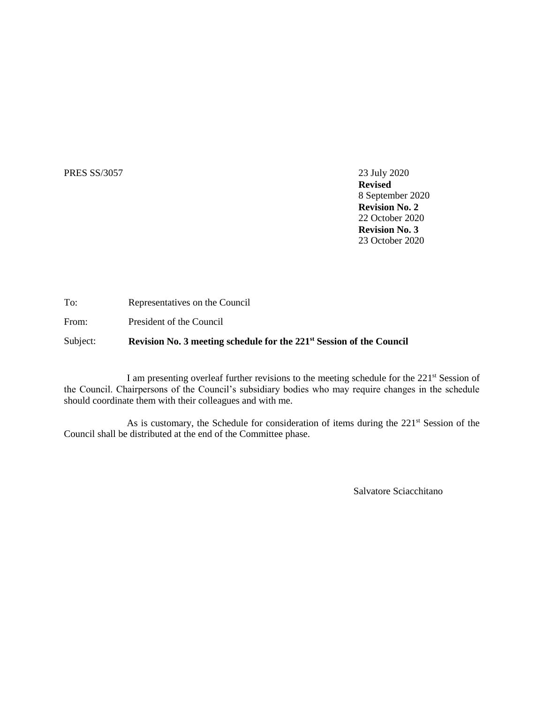## PRES SS/3057 23 July 2020

**Revised** 8 September 2020 **Revision No. 2** 22 October 2020 **Revision No. 3** 23 October 2020

To: Representatives on the Council

From: President of the Council

Subject: **Revision No. 3 meeting schedule for the 221st Session of the Council**

I am presenting overleaf further revisions to the meeting schedule for the 221<sup>st</sup> Session of the Council. Chairpersons of the Council's subsidiary bodies who may require changes in the schedule should coordinate them with their colleagues and with me.

As is customary, the Schedule for consideration of items during the 221<sup>st</sup> Session of the Council shall be distributed at the end of the Committee phase.

Salvatore Sciacchitano